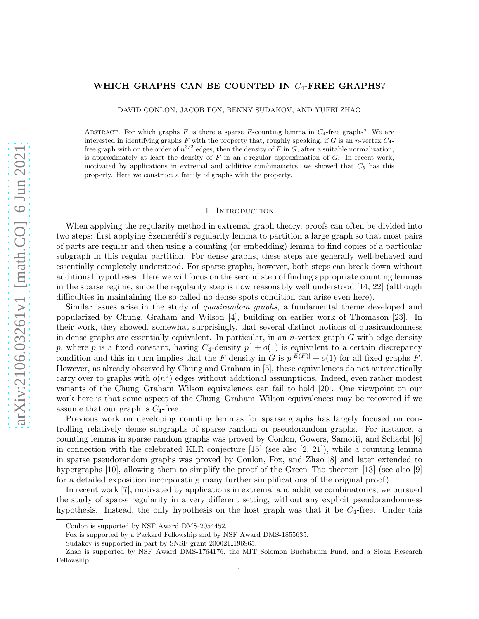# WHICH GRAPHS CAN BE COUNTED IN  $C_4$ -FREE GRAPHS?

DAVID CONLON, JACOB FOX, BENNY SUDAKOV, AND YUFEI ZHAO

ABSTRACT. For which graphs F is there a sparse F-counting lemma in  $C_4$ -free graphs? We are interested in identifying graphs  $F$  with the property that, roughly speaking, if  $G$  is an n-vertex  $C_4$ free graph with on the order of  $n^{3/2}$  edges, then the density of F in G, after a suitable normalization, is approximately at least the density of F in an  $\epsilon$ -regular approximation of G. In recent work, motivated by applications in extremal and additive combinatorics, we showed that  $C_5$  has this property. Here we construct a family of graphs with the property.

## 1. INTRODUCTION

When applying the regularity method in extremal graph theory, proofs can often be divided into two steps: first applying Szemerédi's regularity lemma to partition a large graph so that most pairs of parts are regular and then using a counting (or embedding) lemma to find copies of a particular subgraph in this regular partition. For dense graphs, these steps are generally well-behaved and essentially completely understood. For sparse graphs, however, both steps can break down without additional hypotheses. Here we will focus on the second step of finding appropriate counting lemmas in the sparse regime, since the regularity step is now reasonably well understood [\[14,](#page-11-0) [22\]](#page-12-0) (although difficulties in maintaining the so-called no-dense-spots condition can arise even here).

Similar issues arise in the study of *quasirandom graphs*, a fundamental theme developed and popularized by Chung, Graham and Wilson [\[4\]](#page-11-1), building on earlier work of Thomason [\[23\]](#page-12-1). In their work, they showed, somewhat surprisingly, that several distinct notions of quasirandomness in dense graphs are essentially equivalent. In particular, in an n-vertex graph  $G$  with edge density p, where p is a fixed constant, having  $C_4$ -density  $p^4 + o(1)$  is equivalent to a certain discrepancy condition and this in turn implies that the F-density in G is  $p^{|E(F)|} + o(1)$  for all fixed graphs F. However, as already observed by Chung and Graham in [\[5\]](#page-11-2), these equivalences do not automatically carry over to graphs with  $o(n^2)$  edges without additional assumptions. Indeed, even rather modest variants of the Chung–Graham–Wilson equivalences can fail to hold [\[20\]](#page-12-2). One viewpoint on our work here is that some aspect of the Chung–Graham–Wilson equivalences may be recovered if we assume that our graph is  $C_4$ -free.

Previous work on developing counting lemmas for sparse graphs has largely focused on controlling relatively dense subgraphs of sparse random or pseudorandom graphs. For instance, a counting lemma in sparse random graphs was proved by Conlon, Gowers, Samotij, and Schacht [\[6\]](#page-11-3) in connection with the celebrated KLR conjecture  $[15]$  (see also  $[2, 21]$  $[2, 21]$ ), while a counting lemma in sparse pseudorandom graphs was proved by Conlon, Fox, and Zhao [\[8\]](#page-11-5) and later extended to hypergraphs [\[10\]](#page-11-6), allowing them to simplify the proof of the Green–Tao theorem [\[13\]](#page-11-7) (see also [\[9\]](#page-11-8) for a detailed exposition incorporating many further simplifications of the original proof).

In recent work [\[7\]](#page-11-9), motivated by applications in extremal and additive combinatorics, we pursued the study of sparse regularity in a very different setting, without any explicit pseudorandomness hypothesis. Instead, the only hypothesis on the host graph was that it be  $C_4$ -free. Under this

Conlon is supported by NSF Award DMS-2054452.

Fox is supported by a Packard Fellowship and by NSF Award DMS-1855635.

Sudakov is supported in part by SNSF grant 200021 196965.

Zhao is supported by NSF Award DMS-1764176, the MIT Solomon Buchsbaum Fund, and a Sloan Research Fellowship.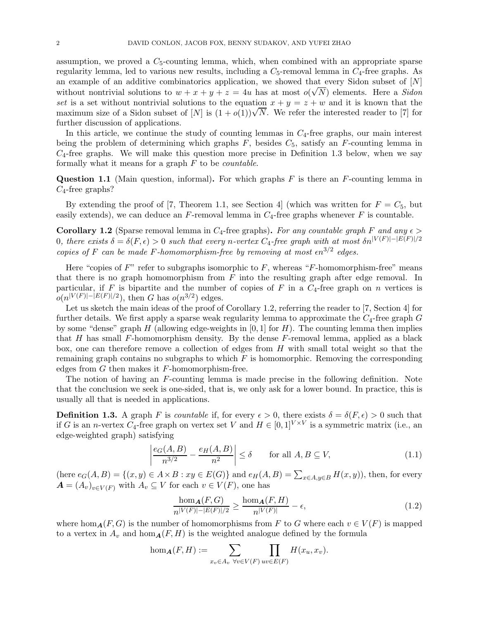assumption, we proved a  $C_5$ -counting lemma, which, when combined with an appropriate sparse regularity lemma, led to various new results, including a  $C_5$ -removal lemma in  $C_4$ -free graphs. As an example of an additive combinatorics application, we showed that every Sidon subset of  $[N]$ without nontrivial solutions to  $w + x + y + z = 4u$  has at most  $o(\sqrt{N})$  elements. Here a *Sidon* set is a set without nontrivial solutions to the equation  $x + y = z + w$  and it is known that the maximum size of a Sidon subset of  $[N]$  is  $(1+o(1))\sqrt{N}$ . We refer the interested reader to [\[7\]](#page-11-9) for further discussion of applications.

In this article, we continue the study of counting lemmas in  $C_4$ -free graphs, our main interest being the problem of determining which graphs  $F$ , besides  $C_5$ , satisfy an  $F$ -counting lemma in  $C_4$ -free graphs. We will make this question more precise in Definition [1.3](#page-1-0) below, when we say formally what it means for a graph F to be *countable*.

<span id="page-1-4"></span>**Question 1.1** (Main question, informal). For which graphs  $F$  is there an  $F$ -counting lemma in  $C_4$ -free graphs?

<span id="page-1-1"></span>By extending the proof of [\[7,](#page-11-9) Theorem 1.1, see Section 4] (which was written for  $F = C_5$ , but easily extends), we can deduce an  $F$ -removal lemma in  $C_4$ -free graphs whenever  $F$  is countable.

**Corollary 1.2** (Sparse removal lemma in  $C_4$ -free graphs). For any countable graph F and any  $\epsilon$ 0*, there exists*  $δ = δ(F, ε) > 0$  *such that every n-vertex*  $C_4$ -free graph with at most  $δn<sup>|V(F)|−|E(F)|/2</sup>$ *copies of* F *can be made* F-homomorphism-free by removing at most  $\epsilon n^{3/2}$  edges.

Here "copies of  $F$ " refer to subgraphs isomorphic to  $F$ , whereas "F-homomorphism-free" means that there is no graph homomorphism from  $F$  into the resulting graph after edge removal. In particular, if F is bipartite and the number of copies of F in a  $C_4$ -free graph on n vertices is  $o(n^{|V(F)|-|E(F)|/2})$ , then G has  $o(n^{3/2})$  edges.

Let us sketch the main ideas of the proof of Corollary [1.2,](#page-1-1) referring the reader to [\[7,](#page-11-9) Section 4] for further details. We first apply a sparse weak regularity lemma to approximate the  $C_4$ -free graph  $G$ by some "dense" graph H (allowing edge-weights in  $[0, 1]$  for H). The counting lemma then implies that H has small F-homomorphism density. By the dense F-removal lemma, applied as a black box, one can therefore remove a collection of edges from  $H$  with small total weight so that the remaining graph contains no subgraphs to which  $F$  is homomorphic. Removing the corresponding edges from  $G$  then makes it  $F$ -homomorphism-free.

The notion of having an F-counting lemma is made precise in the following definition. Note that the conclusion we seek is one-sided, that is, we only ask for a lower bound. In practice, this is usually all that is needed in applications.

<span id="page-1-0"></span>**Definition 1.3.** A graph F is *countable* if, for every  $\epsilon > 0$ , there exists  $\delta = \delta(F, \epsilon) > 0$  such that if G is an *n*-vertex  $C_4$ -free graph on vertex set V and  $H \in [0,1]^{V \times V}$  is a symmetric matrix (i.e., an edge-weighted graph) satisfying

<span id="page-1-2"></span>
$$
\left| \frac{e_G(A, B)}{n^{3/2}} - \frac{e_H(A, B)}{n^2} \right| \le \delta \qquad \text{for all } A, B \subseteq V,
$$
\n(1.1)

(here  $e_G(A, B) = \{(x, y) \in A \times B : xy \in E(G)\}\$  and  $e_H(A, B) = \sum_{x \in A, y \in B} H(x, y)$ ), then, for every  $\mathbf{A} = (A_v)_{v \in V(F)}$  with  $A_v \subseteq V$  for each  $v \in V(F)$ , one has

<span id="page-1-3"></span>
$$
\frac{\hom_{\mathbf{A}}(F,G)}{n^{|V(F)|-|E(F)|/2}} \ge \frac{\hom_{\mathbf{A}}(F,H)}{n^{|V(F)|}} - \epsilon,\tag{1.2}
$$

where hom<sub>A</sub>(F, G) is the number of homomorphisms from F to G where each  $v \in V(F)$  is mapped to a vertex in  $A_v$  and  $\hom_A(F, H)$  is the weighted analogue defined by the formula

$$
\hom_{\mathbf{A}}(F, H) := \sum_{x_v \in A_v} \prod_{\forall v \in V(F)} \prod_{uv \in E(F)} H(x_u, x_v).
$$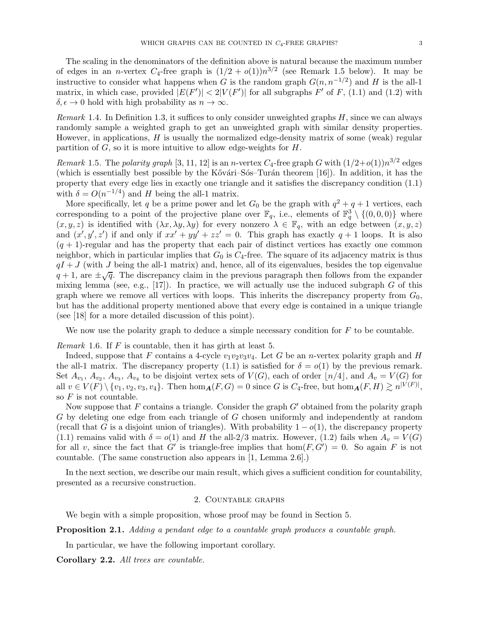The scaling in the denominators of the definition above is natural because the maximum number of edges in an *n*-vertex  $C_4$ -free graph is  $(1/2 + o(1))n^{3/2}$  (see Remark [1.5](#page-2-0) below). It may be instructive to consider what happens when G is the random graph  $G(n, n^{-1/2})$  and H is the all-1 matrix, in which case, provided  $|E(F')| < 2|V(F')|$  for all subgraphs  $F'$  of  $F$ , [\(1.1\)](#page-1-2) and [\(1.2\)](#page-1-3) with  $\delta, \epsilon \to 0$  hold with high probability as  $n \to \infty$ .

*Remark* 1.4*.* In Definition [1.3,](#page-1-0) it suffices to only consider unweighted graphs H, since we can always randomly sample a weighted graph to get an unweighted graph with similar density properties. However, in applications,  $H$  is usually the normalized edge-density matrix of some (weak) regular partition of  $G$ , so it is more intuitive to allow edge-weights for  $H$ .

<span id="page-2-0"></span>*Remark* 1.5. The *polarity graph* [\[3,](#page-11-10) [11,](#page-11-11) [12\]](#page-11-12) is an *n*-vertex  $C_4$ -free graph G with  $(1/2+o(1))n^{3/2}$  edges (which is essentially best possible by the Kővári–Sós–Turán theorem [\[16\]](#page-12-5)). In addition, it has the property that every edge lies in exactly one triangle and it satisfies the discrepancy condition [\(1.1\)](#page-1-2) with  $\delta = O(n^{-1/4})$  and H being the all-1 matrix.

More specifically, let q be a prime power and let  $G_0$  be the graph with  $q^2 + q + 1$  vertices, each corresponding to a point of the projective plane over  $\mathbb{F}_q$ , i.e., elements of  $\mathbb{F}_q^3 \setminus \{(0,0,0)\}$  where  $(x, y, z)$  is identified with  $(\lambda x, \lambda y, \lambda y)$  for every nonzero  $\lambda \in \mathbb{F}_q$ , with an edge between  $(x, y, z)$ and  $(x', y', z')$  if and only if  $xx' + yy' + zz' = 0$ . This graph has exactly  $q + 1$  loops. It is also  $(q + 1)$ -regular and has the property that each pair of distinct vertices has exactly one common neighbor, which in particular implies that  $G_0$  is  $C_4$ -free. The square of its adjacency matrix is thus  $qI + J$  (with J being the all-1 matrix) and, hence, all of its eigenvalues, besides the top eigenvalue  $q+1$ , are  $\pm \sqrt{q}$ . The discrepancy claim in the previous paragraph then follows from the expander mixing lemma (see, e.g.,  $[17]$ ). In practice, we will actually use the induced subgraph G of this graph where we remove all vertices with loops. This inherits the discrepancy property from  $G_0$ , but has the additional property mentioned above that every edge is contained in a unique triangle (see [\[18\]](#page-12-7) for a more detailed discussion of this point).

<span id="page-2-2"></span>We now use the polarity graph to deduce a simple necessary condition for  $F$  to be countable.

*Remark* 1.6*.* If F is countable, then it has girth at least 5.

Indeed, suppose that F contains a 4-cycle  $v_1v_2v_3v_4$ . Let G be an *n*-vertex polarity graph and H the all-1 matrix. The discrepancy property [\(1.1\)](#page-1-2) is satisfied for  $\delta = o(1)$  by the previous remark. Set  $A_{v_1}, A_{v_2}, A_{v_3}, A_{v_4}$  to be disjoint vertex sets of  $V(G)$ , each of order  $\lfloor n/4 \rfloor$ , and  $A_v = V(G)$  for all  $v \in V(F) \setminus \{v_1, v_2, v_3, v_4\}$ . Then  $\hom_{\mathbf{A}}(F, G) = 0$  since G is  $C_4$ -free, but  $\hom_{\mathbf{A}}(F, H) \gtrsim n^{|V(F)|}$ , so  $F$  is not countable.

Now suppose that  $F$  contains a triangle. Consider the graph  $G'$  obtained from the polarity graph G by deleting one edge from each triangle of G chosen uniformly and independently at random (recall that G is a disjoint union of triangles). With probability  $1 - o(1)$ , the discrepancy property [\(1.1\)](#page-1-2) remains valid with  $\delta = o(1)$  and H the all-2/3 matrix. However, [\(1.2\)](#page-1-3) fails when  $A_v = V(G)$ for all v, since the fact that G' is triangle-free implies that  $hom(F, G') = 0$ . So again F is not countable. (The same construction also appears in [\[1,](#page-11-13) Lemma 2.6].)

In the next section, we describe our main result, which gives a sufficient condition for countability, presented as a recursive construction.

## 2. Countable graphs

<span id="page-2-1"></span>We begin with a simple proposition, whose proof may be found in Section [5.](#page-8-0)

Proposition 2.1. *Adding a pendant edge to a countable graph produces a countable graph.*

In particular, we have the following important corollary.

Corollary 2.2. *All trees are countable.*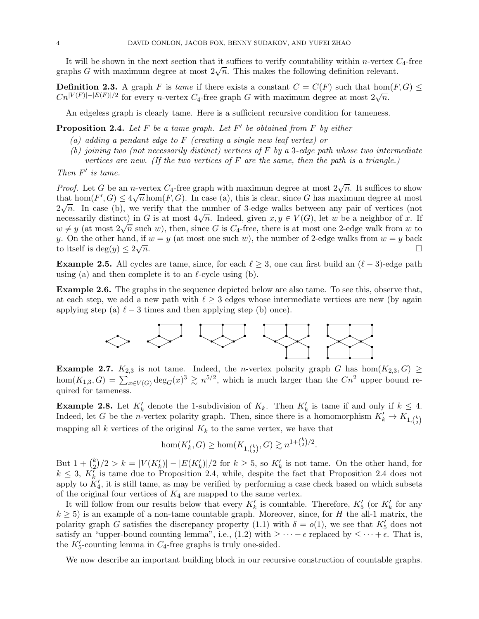It will be shown in the next section that it suffices to verify countability within *n*-vertex  $C_4$ -free graphs G with maximum degree at most  $2\sqrt{n}$ . This makes the following definition relevant.

**Definition 2.3.** A graph F is *tame* if there exists a constant  $C = C(F)$  such that hom $(F, G) \le$  $C_n^{|V(F)|-|E(F)|/2}$  for every n-vertex  $C_4$ -free graph G with maximum degree at most  $2\sqrt{n}$ .

<span id="page-3-0"></span>An edgeless graph is clearly tame. Here is a sufficient recursive condition for tameness.

Proposition 2.4. *Let* F *be a tame graph. Let* F ′ *be obtained from* F *by either*

- *(a) adding a pendant edge to* F *(creating a single new leaf vertex) or*
- *(b) joining two (not necessarily distinct) vertices of* F *by a* 3*-edge path whose two intermediate vertices are new. (If the two vertices of* F *are the same, then the path is a triangle.)*

*Then* F ′ *is tame.*

*Proof.* Let G be an n-vertex  $C_4$ -free graph with maximum degree at most  $2\sqrt{n}$ . It suffices to show that  $hom(F', G) \leq 4\sqrt{n} \hom(F, G)$ . In case (a), this is clear, since G has maximum degree at most  $2\sqrt{n}$ . In case (b), we verify that the number of 3-edge walks between any pair of vertices (not necessarily distinct) in G is at most  $4\sqrt{n}$ . Indeed, given  $x, y \in V(G)$ , let w be a neighbor of x. If  $w \neq y$  (at most  $2\sqrt{n}$  such w), then, since G is  $C_4$ -free, there is at most one 2-edge walk from w to y. On the other hand, if  $w = y$  (at most one such w), the number of 2-edge walks from  $w = y$  back to itself is  $deg(y) \leq 2\sqrt{1}$  $\overline{n}$ .

**Example 2.5.** All cycles are tame, since, for each  $\ell \geq 3$ , one can first build an  $(\ell - 3)$ -edge path using (a) and then complete it to an  $\ell$ -cycle using (b).

<span id="page-3-2"></span>Example 2.6. The graphs in the sequence depicted below are also tame. To see this, observe that, at each step, we add a new path with  $\ell \geq 3$  edges whose intermediate vertices are new (by again applying step (a)  $\ell - 3$  times and then applying step (b) once).



<span id="page-3-1"></span>**Example 2.7.**  $K_{2,3}$  is not tame. Indeed, the *n*-vertex polarity graph G has hom $(K_{2,3}, G) \geq$ hom $(K_{1,3}, G) = \sum_{x \in V(G)} \deg_G(x)^3 \gtrsim n^{5/2}$ , which is much larger than the  $Cn^2$  upper bound required for tameness.

<span id="page-3-3"></span>**Example 2.8.** Let  $K'_k$  denote the 1-subdivision of  $K_k$ . Then  $K'_k$  is tame if and only if  $k \leq 4$ . Indeed, let G be the *n*-vertex polarity graph. Then, since there is a homomorphism  $K'_k \to K_{1, {k \choose 2}}$ mapping all k vertices of the original  $K_k$  to the same vertex, we have that

$$
\hom(K'_k, G) \ge \hom(K_{1, \binom{k}{2}}, G) \gtrsim n^{1 + \binom{k}{2}/2}.
$$

But  $1 + {k \choose 2}$  $\binom{k}{2}/2 > k = |V(K'_k)| - |E(K'_k)|/2$  for  $k \geq 5$ , so  $K'_k$  is not tame. On the other hand, for  $k \leq 3$ ,  $K_k^{\overline{I}}$  is tame due to Proposition [2.4,](#page-3-0) while, despite the fact that Proposition [2.4](#page-3-0) does not apply to  $K'_{4}$ , it is still tame, as may be verified by performing a case check based on which subsets of the original four vertices of  $K_4$  are mapped to the same vertex.

It will follow from our results below that every  $K'_{k}$  is countable. Therefore,  $K'_{5}$  (or  $K'_{k}$  for any  $k \geq 5$ ) is an example of a non-tame countable graph. Moreover, since, for H the all-1 matrix, the polarity graph G satisfies the discrepancy property [\(1.1\)](#page-1-2) with  $\delta = o(1)$ , we see that  $K'_{5}$  does not satisfy an "upper-bound counting lemma", i.e., [\(1.2\)](#page-1-3) with  $\geq \cdots -\epsilon$  replaced by  $\leq \cdots +\epsilon$ . That is, the  $K'_5$ -counting lemma in  $C_4$ -free graphs is truly one-sided.

We now describe an important building block in our recursive construction of countable graphs.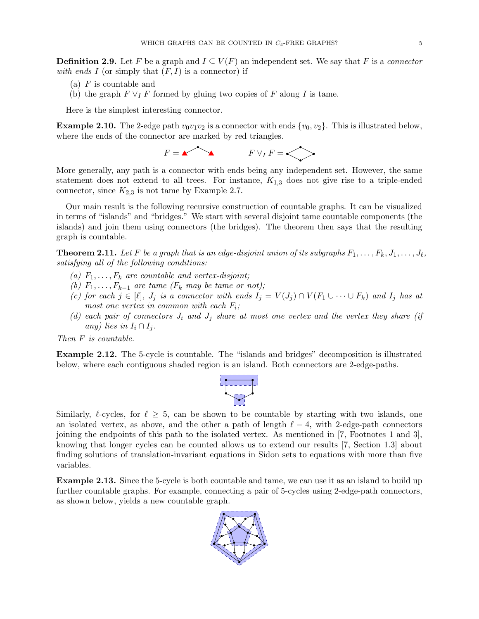**Definition 2.9.** Let F be a graph and  $I \subseteq V(F)$  an independent set. We say that F is a *connector* with ends  $I$  (or simply that  $(F, I)$  is a connector) if

- (a)  $F$  is countable and
- (b) the graph  $F \vee_I F$  formed by gluing two copies of F along I is tame.

Here is the simplest interesting connector.

**Example 2.10.** The 2-edge path  $v_0v_1v_2$  is a connector with ends  $\{v_0, v_2\}$ . This is illustrated below, where the ends of the connector are marked by red triangles.

 $F = \n\begin{matrix} \n\diagup \n\diagup \n\diagdown \n\end{matrix}$  F  $\vee_I F = \n\begin{matrix} \diagdown \n\diagdown \n\end{matrix}$ 

More generally, any path is a connector with ends being any independent set. However, the same statement does not extend to all trees. For instance,  $K_{1,3}$  does not give rise to a triple-ended connector, since  $K_{2,3}$  is not tame by Example [2.7.](#page-3-1)

Our main result is the following recursive construction of countable graphs. It can be visualized in terms of "islands" and "bridges." We start with several disjoint tame countable components (the islands) and join them using connectors (the bridges). The theorem then says that the resulting graph is countable.

<span id="page-4-0"></span>**Theorem 2.11.** Let F be a graph that is an edge-disjoint union of its subgraphs  $F_1, \ldots, F_k, J_1, \ldots, J_\ell$ , *satisfying all of the following conditions:*

- (a)  $F_1, \ldots, F_k$  are countable and vertex-disjoint;
- *(b)*  $F_1, \ldots, F_{k-1}$  are tame  $(F_k \text{ may be tame or not});$
- *(c) for each*  $j \in [\ell], J_j$  *is a connector with ends*  $I_j = V(J_j) \cap V(F_1 \cup \cdots \cup F_k)$  *and*  $I_j$  *has at most one vertex in common with each* F<sup>i</sup> *;*
- $(d)$  each pair of connectors  $J_i$  and  $J_j$  share at most one vertex and the vertex they share (if *any)* lies in  $I_i \cap I_j$ .

*Then* F *is countable.*

Example 2.12. The 5-cycle is countable. The "islands and bridges" decomposition is illustrated below, where each contiguous shaded region is an island. Both connectors are 2-edge-paths.



Similarly,  $\ell$ -cycles, for  $\ell \geq 5$ , can be shown to be countable by starting with two islands, one an isolated vertex, as above, and the other a path of length  $\ell - 4$ , with 2-edge-path connectors joining the endpoints of this path to the isolated vertex. As mentioned in [\[7,](#page-11-9) Footnotes 1 and 3], knowing that longer cycles can be counted allows us to extend our results [\[7,](#page-11-9) Section 1.3] about finding solutions of translation-invariant equations in Sidon sets to equations with more than five variables.

Example 2.13. Since the 5-cycle is both countable and tame, we can use it as an island to build up further countable graphs. For example, connecting a pair of 5-cycles using 2-edge-path connectors, as shown below, yields a new countable graph.

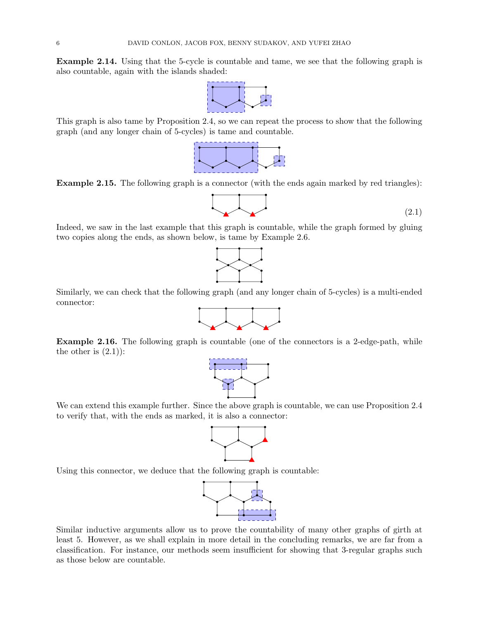Example 2.14. Using that the 5-cycle is countable and tame, we see that the following graph is also countable, again with the islands shaded:



This graph is also tame by Proposition [2.4,](#page-3-0) so we can repeat the process to show that the following graph (and any longer chain of 5-cycles) is tame and countable.



Example 2.15. The following graph is a connector (with the ends again marked by red triangles):

<span id="page-5-0"></span>

Indeed, we saw in the last example that this graph is countable, while the graph formed by gluing two copies along the ends, as shown below, is tame by Example [2.6.](#page-3-2)



Similarly, we can check that the following graph (and any longer chain of 5-cycles) is a multi-ended connector:



Example 2.16. The following graph is countable (one of the connectors is a 2-edge-path, while the other is  $(2.1)$ :



We can extend this example further. Since the above graph is countable, we can use Proposition [2.4](#page-3-0) to verify that, with the ends as marked, it is also a connector:



Using this connector, we deduce that the following graph is countable:



<span id="page-5-1"></span>Similar inductive arguments allow us to prove the countability of many other graphs of girth at least 5. However, as we shall explain in more detail in the concluding remarks, we are far from a classification. For instance, our methods seem insufficient for showing that 3-regular graphs such as those below are countable.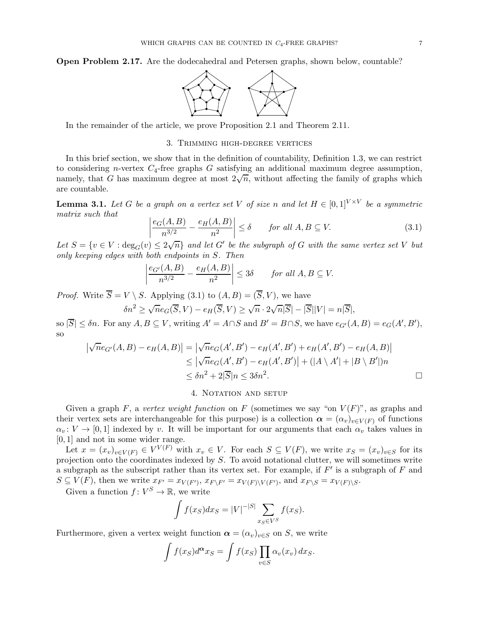Open Problem 2.17. Are the dodecahedral and Petersen graphs, shown below, countable?



In the remainder of the article, we prove Proposition [2.1](#page-2-1) and Theorem [2.11.](#page-4-0)

## 3. Trimming high-degree vertices

In this brief section, we show that in the definition of countability, Definition [1.3,](#page-1-0) we can restrict to considering n-vertex  $C_4$ -free graphs G satisfying an additional maximum degree assumption, namely, that G has maximum degree at most  $2\sqrt{n}$ , without affecting the family of graphs which are countable.

**Lemma 3.1.** Let G be a graph on a vertex set V of size n and let  $H \in [0,1]^{V \times V}$  be a symmetric *matrix such that*

<span id="page-6-0"></span>
$$
\left| \frac{e_G(A, B)}{n^{3/2}} - \frac{e_H(A, B)}{n^2} \right| \le \delta \qquad \text{for all } A, B \subseteq V. \tag{3.1}
$$

Let  $S = \{v \in V : \deg_G(v) \leq 2\sqrt{n}\}\$ and let  $G'$  be the subgraph of G with the same vertex set V but *only keeping edges with both endpoints in* S*. Then*

$$
\left|\frac{e_{G'}(A,B)}{n^{3/2}} - \frac{e_H(A,B)}{n^2}\right| \le 3\delta \quad \text{for all } A, B \subseteq V.
$$

*Proof.* Write  $S = V \setminus S$ . Applying [\(3.1\)](#page-6-0) to  $(A, B) = (S, V)$ , we have

$$
\delta n^2 \ge \sqrt{n} e_G(\overline{S}, V) - e_H(\overline{S}, V) \ge \sqrt{n} \cdot 2\sqrt{n} |\overline{S}| - |\overline{S}| |V| = n|\overline{S}|,
$$

so  $|\overline{S}| \leq \delta n$ . For any  $A, B \subseteq V$ , writing  $A' = A \cap S$  and  $B' = B \cap S$ , we have  $e_{G'}(A, B) = e_G(A', B')$ , so

$$
\begin{aligned} \left| \sqrt{n}e_{G'}(A,B) - e_H(A,B) \right| &= \left| \sqrt{n}e_G(A',B') - e_H(A',B') + e_H(A',B') - e_H(A,B) \right| \\ &\le \left| \sqrt{n}e_G(A',B') - e_H(A',B') \right| + \left( |A \setminus A'| + |B \setminus B'| \right) n \\ &\le \delta n^2 + 2|\overline{S}|n \le 3\delta n^2. \end{aligned}
$$

## 4. NOTATION AND SETUP

Given a graph F, a *vertex weight function* on F (sometimes we say "on  $V(F)$ ", as graphs and their vertex sets are interchangeable for this purpose) is a collection  $\alpha = (\alpha_v)_{v \in V(F)}$  of functions  $\alpha_v: V \to [0, 1]$  indexed by v. It will be important for our arguments that each  $\alpha_v$  takes values in [0, 1] and not in some wider range.

Let  $x = (x_v)_{v \in V(F)} \in V^{V(F)}$  with  $x_v \in V$ . For each  $S \subseteq V(F)$ , we write  $x_S = (x_v)_{v \in S}$  for its projection onto the coordinates indexed by  $S$ . To avoid notational clutter, we will sometimes write a subgraph as the subscript rather than its vertex set. For example, if  $F'$  is a subgraph of  $F$  and  $S \subseteq V(F)$ , then we write  $x_{F'} = x_{V(F')}$ ,  $x_{F\setminus F'} = x_{V(F)\setminus V(F')}$ , and  $x_{F\setminus S} = x_{V(F)\setminus S}$ .

Given a function  $f: V^S \to \mathbb{R}$ , we write

$$
\int f(x_S)dx_S = |V|^{-|S|} \sum_{x_S \in V^S} f(x_S).
$$

Furthermore, given a vertex weight function  $\boldsymbol{\alpha} = (\alpha_v)_{v \in S}$  on S, we write

$$
\int f(x_S) d^{\alpha} x_S = \int f(x_S) \prod_{v \in S} \alpha_v(x_v) dx_S.
$$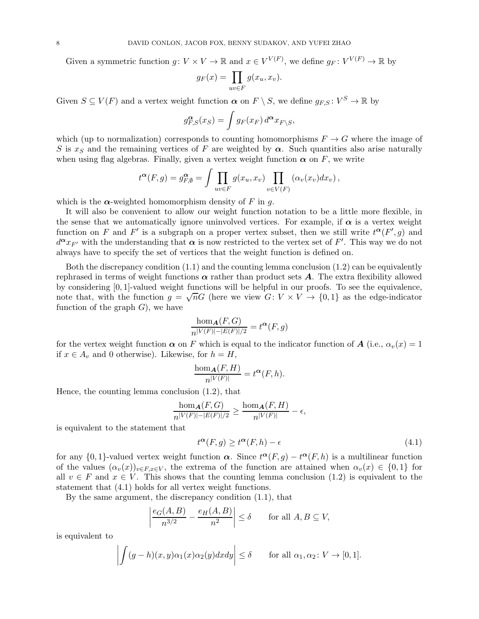Given a symmetric function  $g: V \times V \to \mathbb{R}$  and  $x \in V^{V(F)}$ , we define  $g_F: V^{V(F)} \to \mathbb{R}$  by

$$
g_F(x) = \prod_{uv \in F} g(x_u, x_v).
$$

Given  $S \subseteq V(F)$  and a vertex weight function  $\alpha$  on  $F \setminus S$ , we define  $g_{F,S}: V^S \to \mathbb{R}$  by

$$
g_{F,S}^{\alpha}(x_S) = \int g_F(x_F) d^{\alpha} x_{F\setminus S},
$$

which (up to normalization) corresponds to counting homomorphisms  $F \to G$  where the image of S is  $x<sub>S</sub>$  and the remaining vertices of F are weighted by  $\alpha$ . Such quantities also arise naturally when using flag algebras. Finally, given a vertex weight function  $\alpha$  on F, we write

$$
t^{\alpha}(F,g) = g_{F,\emptyset}^{\alpha} = \int \prod_{uv \in F} g(x_u, x_v) \prod_{v \in V(F)} (\alpha_v(x_v) dx_v),
$$

which is the  $\alpha$ -weighted homomorphism density of F in q.

It will also be convenient to allow our weight function notation to be a little more flexible, in the sense that we automatically ignore uninvolved vertices. For example, if  $\alpha$  is a vertex weight function on F and F' is a subgraph on a proper vertex subset, then we still write  $t^{\alpha}(F', g)$  and  $d^{\alpha}x_{F'}$  with the understanding that  $\alpha$  is now restricted to the vertex set of F'. This way we do not always have to specify the set of vertices that the weight function is defined on.

Both the discrepancy condition  $(1.1)$  and the counting lemma conclusion  $(1.2)$  can be equivalently rephrased in terms of weight functions  $\alpha$  rather than product sets  $A$ . The extra flexibility allowed by considering [0, 1]-valued weight functions will be helpful in our proofs. To see the equivalence, note that, with the function  $g = \sqrt{n}G$  (here we view  $G: V \times V \rightarrow \{0, 1\}$  as the edge-indicator function of the graph  $G$ , we have

$$
\frac{\hom_{\mathbf{A}}(F,G)}{n^{|V(F)|-|E(F)|/2}} = t^{\alpha}(F,g)
$$

for the vertex weight function  $\alpha$  on F which is equal to the indicator function of A (i.e.,  $\alpha_v(x) = 1$ ) if  $x \in A_v$  and 0 otherwise). Likewise, for  $h = H$ ,

$$
\frac{\hom_{\mathbf{A}}(F,H)}{n^{|V(F)|}} = t^{\alpha}(F,h).
$$

Hence, the counting lemma conclusion [\(1.2\)](#page-1-3), that

$$
\frac{\hom_{\mathbf{A}}(F,G)}{n^{|V(F)|-|E(F)|/2}} \ge \frac{\hom_{\mathbf{A}}(F,H)}{n^{|V(F)|}} - \epsilon,
$$

is equivalent to the statement that

<span id="page-7-0"></span>
$$
t^{\alpha}(F,g) \ge t^{\alpha}(F,h) - \epsilon \tag{4.1}
$$

for any  $\{0,1\}$ -valued vertex weight function  $\alpha$ . Since  $t^{\alpha}(F,g) - t^{\alpha}(F,h)$  is a multilinear function of the values  $(\alpha_v(x))_{v\in F,x\in V}$ , the extrema of the function are attained when  $\alpha_v(x) \in \{0,1\}$  for all  $v \in F$  and  $x \in V$ . This shows that the counting lemma conclusion [\(1.2\)](#page-1-3) is equivalent to the statement that [\(4.1\)](#page-7-0) holds for all vertex weight functions.

By the same argument, the discrepancy condition [\(1.1\)](#page-1-2), that

$$
\left|\frac{e_G(A,B)}{n^{3/2}} - \frac{e_H(A,B)}{n^2}\right| \le \delta \quad \text{for all } A, B \subseteq V,
$$

is equivalent to

$$
\left| \int (g - h)(x, y)\alpha_1(x)\alpha_2(y)dxdy \right| \le \delta \quad \text{for all } \alpha_1, \alpha_2 \colon V \to [0, 1].
$$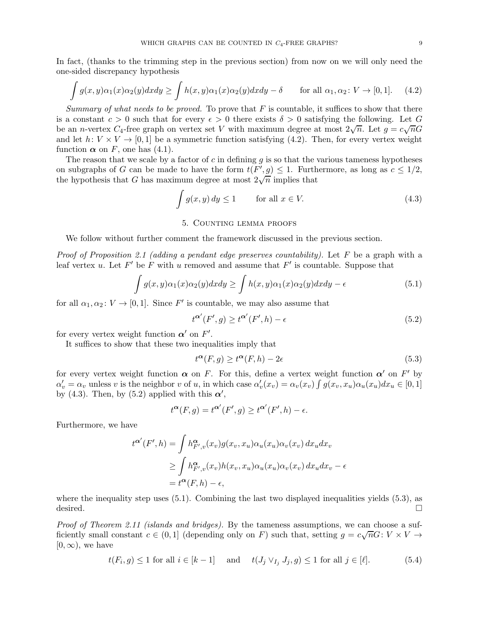In fact, (thanks to the trimming step in the previous section) from now on we will only need the one-sided discrepancy hypothesis

<span id="page-8-1"></span>
$$
\int g(x,y)\alpha_1(x)\alpha_2(y)dxdy \ge \int h(x,y)\alpha_1(x)\alpha_2(y)dxdy - \delta \quad \text{for all } \alpha_1, \alpha_2 \colon V \to [0,1]. \tag{4.2}
$$

*Summary of what needs to be proved.* To prove that  $F$  is countable, it suffices to show that there is a constant  $c > 0$  such that for every  $\epsilon > 0$  there exists  $\delta > 0$  satisfying the following. Let G be an *n*-vertex  $C_4$ -free graph on vertex set V with maximum degree at most  $2\sqrt{n}$ . Let  $g = c\sqrt{n}G$ and let  $h: V \times V \rightarrow [0, 1]$  be a symmetric function satisfying [\(4.2\)](#page-8-1). Then, for every vertex weight function  $\alpha$  on F, one has [\(4.1\)](#page-7-0).

The reason that we scale by a factor of c in defining q is so that the various tameness hypotheses on subgraphs of G can be made to have the form  $t(F', g) \leq 1$ . Furthermore, as long as  $c \leq 1/2$ , the hypothesis that G has maximum degree at most  $2\sqrt{n}$  implies that

<span id="page-8-2"></span>
$$
\int g(x, y) dy \le 1 \qquad \text{for all } x \in V. \tag{4.3}
$$

# 5. Counting lemma proofs

<span id="page-8-0"></span>We follow without further comment the framework discussed in the previous section.

*Proof of Proposition [2.1](#page-2-1) (adding a pendant edge preserves countability).* Let F be a graph with a leaf vertex u. Let  $F'$  be F with u removed and assume that  $F'$  is countable. Suppose that

<span id="page-8-4"></span>
$$
\int g(x,y)\alpha_1(x)\alpha_2(y)dxdy \ge \int h(x,y)\alpha_1(x)\alpha_2(y)dxdy - \epsilon \tag{5.1}
$$

for all  $\alpha_1, \alpha_2 \colon V \to [0, 1]$ . Since  $F'$  is countable, we may also assume that

<span id="page-8-3"></span>
$$
t^{\alpha'}(F',g) \ge t^{\alpha'}(F',h) - \epsilon \tag{5.2}
$$

for every vertex weight function  $\alpha'$  on  $F'$ .

It suffices to show that these two inequalities imply that

<span id="page-8-5"></span>
$$
t^{\alpha}(F,g) \ge t^{\alpha}(F,h) - 2\epsilon \tag{5.3}
$$

for every vertex weight function  $\alpha$  on F. For this, define a vertex weight function  $\alpha'$  on F' by  $\alpha'_v = \alpha_v$  unless v is the neighbor v of u, in which case  $\alpha'_v(x_v) = \alpha_v(x_v) \int g(x_v, x_u) \alpha_u(x_u) dx_u \in [0, 1]$ by [\(4.3\)](#page-8-2). Then, by [\(5.2\)](#page-8-3) applied with this  $\alpha'$ ,

$$
t^{\alpha}(F,g) = t^{\alpha'}(F',g) \ge t^{\alpha'}(F',h) - \epsilon.
$$

Furthermore, we have

$$
t^{\alpha'}(F',h) = \int h_{F',v}^{\alpha}(x_v)g(x_v, x_u)\alpha_u(x_u)\alpha_v(x_v) dx_u dx_v
$$
  
\n
$$
\geq \int h_{F',v}^{\alpha}(x_v)h(x_v, x_u)\alpha_u(x_u)\alpha_v(x_v) dx_u dx_v - \epsilon
$$
  
\n
$$
= t^{\alpha}(F,h) - \epsilon,
$$

where the inequality step uses  $(5.1)$ . Combining the last two displayed inequalities yields  $(5.3)$ , as desired.  $\Box$ 

*Proof of Theorem [2.11](#page-4-0) (islands and bridges).* By the tameness assumptions, we can choose a sufficiently small constant  $c \in (0,1]$  (depending only on F) such that, setting  $g = c\sqrt{n}G: V \times V \rightarrow$  $[0,\infty)$ , we have

<span id="page-8-6"></span>
$$
t(F_i, g) \le 1 \text{ for all } i \in [k-1] \quad \text{ and } \quad t(J_j \vee_{I_j} J_j, g) \le 1 \text{ for all } j \in [\ell]. \tag{5.4}
$$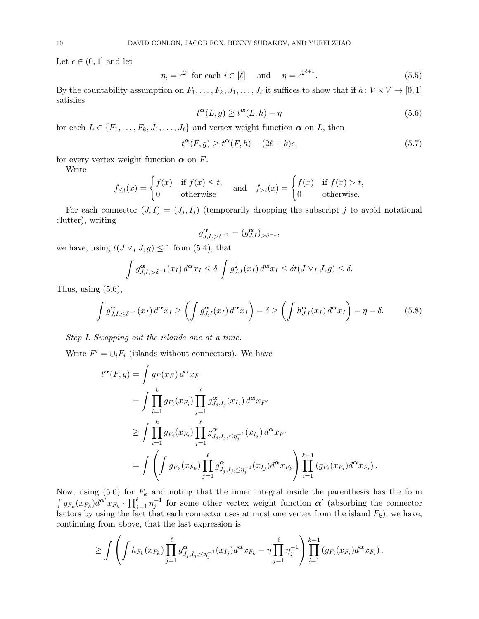Let  $\epsilon \in (0,1]$  and let

<span id="page-9-1"></span>
$$
\eta_i = \epsilon^{2^i} \text{ for each } i \in [\ell] \quad \text{ and } \quad \eta = \epsilon^{2^{\ell+1}}. \tag{5.5}
$$

By the countability assumption on  $F_1, \ldots, F_k, J_1, \ldots, J_\ell$  it suffices to show that if  $h: V \times V \to [0, 1]$ satisfies

<span id="page-9-0"></span>
$$
t^{\alpha}(L,g) \ge t^{\alpha}(L,h) - \eta \tag{5.6}
$$

for each  $L \in \{F_1, \ldots, F_k, J_1, \ldots, J_\ell\}$  and vertex weight function  $\alpha$  on L, then

<span id="page-9-3"></span>
$$
t^{\alpha}(F,g) \ge t^{\alpha}(F,h) - (2\ell + k)\epsilon,
$$
\n(5.7)

for every vertex weight function  $\alpha$  on F.

Write

$$
f_{\leq t}(x) = \begin{cases} f(x) & \text{if } f(x) \leq t, \\ 0 & \text{otherwise} \end{cases} \quad \text{and} \quad f_{>t}(x) = \begin{cases} f(x) & \text{if } f(x) > t, \\ 0 & \text{otherwise.} \end{cases}
$$

For each connector  $(J, I) = (J_j, I_j)$  (temporarily dropping the subscript j to avoid notational clutter), writing

$$
g_{J,I,>\delta^{-1}}^{\pmb{\alpha}}=(g_{J,I}^{\pmb{\alpha}})_{>\delta^{-1}},
$$

we have, using  $t(J \vee I, g) \leq 1$  from [\(5.4\)](#page-8-6), that

$$
\int g_{J,I,>\delta^{-1}}^{\alpha}(x_I) d^{\alpha} x_I \le \delta \int g_{J,I}^2(x_I) d^{\alpha} x_I \le \delta t(J \vee_I J, g) \le \delta.
$$

Thus, using  $(5.6)$ ,

<span id="page-9-2"></span>
$$
\int g_{J,I,\leq \delta^{-1}}^{\alpha}(x_I) d^{\alpha} x_I \geq \left( \int g_{J,I}^{\alpha}(x_I) d^{\alpha} x_I \right) - \delta \geq \left( \int h_{J,I}^{\alpha}(x_I) d^{\alpha} x_I \right) - \eta - \delta. \tag{5.8}
$$

*Step I. Swapping out the islands one at a time.*

Write  $F' = \bigcup_i F_i$  (islands without connectors). We have

$$
t^{\alpha}(F,g) = \int g_F(x_F) d^{\alpha} x_F
$$
  
= 
$$
\int \prod_{i=1}^k g_{F_i}(x_{F_i}) \prod_{j=1}^{\ell} g_{J_j, I_j}^{\alpha}(x_{I_j}) d^{\alpha} x_{F'}
$$
  

$$
\geq \int \prod_{i=1}^k g_{F_i}(x_{F_i}) \prod_{j=1}^{\ell} g_{J_j, I_j, \leq \eta_j^{-1}}^{\alpha}(x_{I_j}) d^{\alpha} x_{F'}
$$
  
= 
$$
\int \left( \int g_{F_k}(x_{F_k}) \prod_{j=1}^{\ell} g_{J_j, I_j, \leq \eta_j^{-1}}^{\alpha}(x_{I_j}) d^{\alpha} x_{F_k} \right) \prod_{i=1}^{k-1} (g_{F_i}(x_{F_i}) d^{\alpha} x_{F_i}).
$$

Now, using [\(5.6\)](#page-9-0) for  $F_k$  and noting that the inner integral inside the parenthesis has the form  $\int g_{F_k}(x_{F_k}) d^{\alpha'} x_{F_k} \cdot \prod_{j=1}^{\ell} \eta_j^{-1}$  for some other vertex weight function  $\alpha'$  (absorbing the connector factors by using the fact that each connector uses at most one vertex from the island  $F_k$ ), we have, continuing from above, that the last expression is

$$
\geq \int \left( \int h_{F_k}(x_{F_k}) \prod_{j=1}^{\ell} g_{J_j, I_j, \leq \eta_j^{-1}}^{\alpha}(x_{I_j}) d^{\alpha} x_{F_k} - \eta \prod_{j=1}^{\ell} \eta_j^{-1} \right) \prod_{i=1}^{k-1} (g_{F_i}(x_{F_i}) d^{\alpha} x_{F_i}).
$$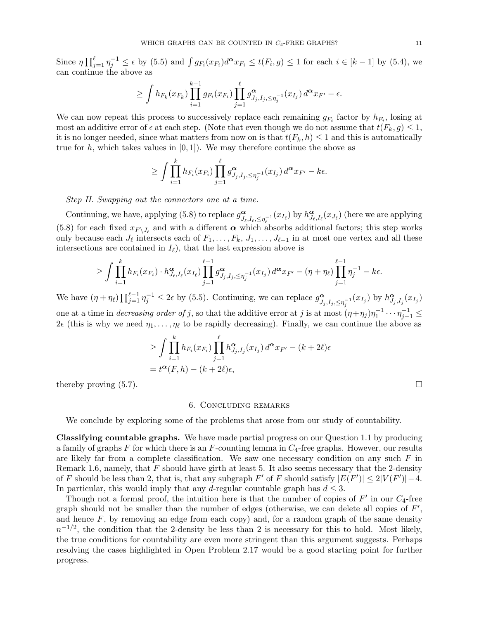Since  $\eta \prod_{j=1}^{\ell} \eta_j^{-1} \leq \epsilon$  by [\(5.5\)](#page-9-1) and  $\int g_{F_i}(x_{F_i}) d^{\alpha} x_{F_i} \leq t(F_i, g) \leq 1$  for each  $i \in [k-1]$  by [\(5.4\)](#page-8-6), we can continue the above as

$$
\geq \int h_{F_k}(x_{F_k}) \prod_{i=1}^{k-1} g_{F_i}(x_{F_i}) \prod_{j=1}^{\ell} g_{J_j, I_j, \leq \eta_j^{-1}}^{\alpha}(x_{I_j}) d^{\alpha} x_{F'} - \epsilon.
$$

We can now repeat this process to successively replace each remaining  $g_{F_i}$  factor by  $h_{F_i}$ , losing at most an additive error of  $\epsilon$  at each step. (Note that even though we do not assume that  $t(F_k, g) \leq 1$ , it is no longer needed, since what matters from now on is that  $t(F_k, h) \leq 1$  and this is automatically true for h, which takes values in  $[0, 1]$ . We may therefore continue the above as

$$
\geq \int \prod_{i=1}^k h_{F_i}(x_{F_i}) \prod_{j=1}^\ell g_{J_j,I_j,\leq \eta_j^{-1}}^\alpha(x_{I_j}) d^\alpha x_{F'}-k\epsilon.
$$

*Step II. Swapping out the connectors one at a time.*

Continuing, we have, applying [\(5.8\)](#page-9-2) to replace  $g_{\mu}^{\alpha}$  $\alpha$ <sub> $J_{\ell}, I_{\ell}, \leq \eta_{\ell}^{-1}(x_{I_{\ell}})$  by  $h^{\alpha}_{J_{\ell}}$ </sub>  $\frac{\alpha}{J_{\ell},I_{\ell}}(x_{J_{\ell}})$  (here we are applying [\(5.8\)](#page-9-2) for each fixed  $x_{F\setminus J_{\ell}}$  and with a different  $\alpha$  which absorbs additional factors; this step works only because each  $J_{\ell}$  intersects each of  $F_1, \ldots, F_k, J_1, \ldots, J_{\ell-1}$  in at most one vertex and all these intersections are contained in  $I_{\ell}$ , that the last expression above is

$$
\geq \int \prod_{i=1}^k h_{F_i}(x_{F_i}) \cdot h_{J_{\ell},I_{\ell}}^{\alpha}(x_{I_{\ell}}) \prod_{j=1}^{\ell-1} g_{J_j,I_j,\leq \eta_j^{-1}}^{\alpha}(x_{I_j}) d^{\alpha} x_{F'} - (\eta + \eta_{\ell}) \prod_{j=1}^{\ell-1} \eta_j^{-1} - k\epsilon.
$$

We have  $(\eta + \eta_\ell) \prod_{j=1}^{\ell-1} \eta_j^{-1} \leq 2\epsilon$  by [\(5.5\)](#page-9-1). Continuing, we can replace  $g_{J_\ell}^{\alpha}$  $\alpha_{J_j, I_j, \leq \eta_j^{-1}}(x_{I_j})$  by  $h_{J_j}^{\alpha}$  $^{\boldsymbol \alpha}_{J_j,I_j}(x_{I_j})$ one at a time in *decreasing order of* j, so that the additive error at j is at most  $(\eta + \eta_j)\eta_1^{-1} \cdots \eta_{j-1}^{-1} \le$  $2\epsilon$  (this is why we need  $\eta_1, \ldots, \eta_\ell$  to be rapidly decreasing). Finally, we can continue the above as

$$
\geq \int \prod_{i=1}^k h_{F_i}(x_{F_i}) \prod_{j=1}^\ell h_{J_j, I_j}^{\alpha}(x_{I_j}) d^{\alpha} x_{F'} - (k+2\ell)\epsilon
$$
  
=  $t^{\alpha}(F, h) - (k+2\ell)\epsilon$ ,

thereby proving  $(5.7)$ .

### 6. Concluding remarks

We conclude by exploring some of the problems that arose from our study of countability.

Classifying countable graphs. We have made partial progress on our Question [1.1](#page-1-4) by producing a family of graphs  $F$  for which there is an  $F$ -counting lemma in  $C_4$ -free graphs. However, our results are likely far from a complete classification. We saw one necessary condition on any such  $F$  in Remark [1.6,](#page-2-2) namely, that  $F$  should have girth at least 5. It also seems necessary that the 2-density of F should be less than 2, that is, that any subgraph F' of F should satisfy  $|E(F')| \le 2|V(F')|-4$ . In particular, this would imply that any d-regular countable graph has  $d \leq 3$ .

Though not a formal proof, the intuition here is that the number of copies of  $F'$  in our  $C_4$ -free graph should not be smaller than the number of edges (otherwise, we can delete all copies of  $F'$ , and hence  $F$ , by removing an edge from each copy) and, for a random graph of the same density  $n^{-1/2}$ , the condition that the 2-density be less than 2 is necessary for this to hold. Most likely, the true conditions for countability are even more stringent than this argument suggests. Perhaps resolving the cases highlighted in Open Problem [2.17](#page-5-1) would be a good starting point for further progress.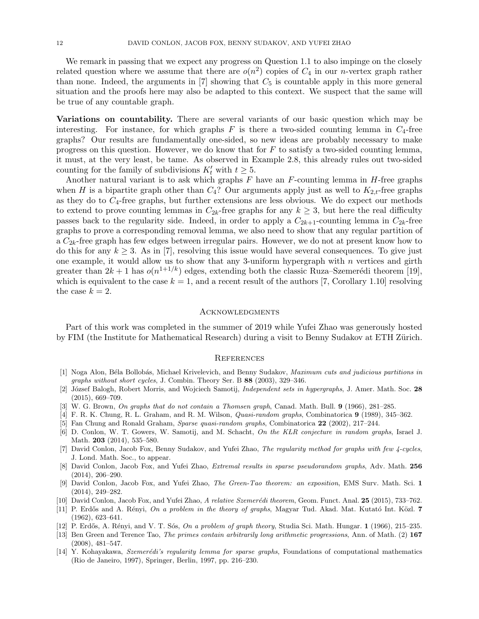We remark in passing that we expect any progress on Question [1.1](#page-1-4) to also impinge on the closely related question where we assume that there are  $o(n^2)$  copies of  $C_4$  in our *n*-vertex graph rather than none. Indeed, the arguments in  $[7]$  showing that  $C_5$  is countable apply in this more general situation and the proofs here may also be adapted to this context. We suspect that the same will be true of any countable graph.

Variations on countability. There are several variants of our basic question which may be interesting. For instance, for which graphs  $F$  is there a two-sided counting lemma in  $C_4$ -free graphs? Our results are fundamentally one-sided, so new ideas are probably necessary to make progress on this question. However, we do know that for  $F$  to satisfy a two-sided counting lemma, it must, at the very least, be tame. As observed in Example [2.8,](#page-3-3) this already rules out two-sided counting for the family of subdivisions  $K'_t$  with  $t \geq 5$ .

Another natural variant is to ask which graphs  $F$  have an  $F$ -counting lemma in  $H$ -free graphs when H is a bipartite graph other than  $C_4$ ? Our arguments apply just as well to  $K_{2,t}$ -free graphs as they do to  $C_4$ -free graphs, but further extensions are less obvious. We do expect our methods to extend to prove counting lemmas in  $C_{2k}$ -free graphs for any  $k \geq 3$ , but here the real difficulty passes back to the regularity side. Indeed, in order to apply a  $C_{2k+1}$ -counting lemma in  $C_{2k}$ -free graphs to prove a corresponding removal lemma, we also need to show that any regular partition of a  $C_{2k}$ -free graph has few edges between irregular pairs. However, we do not at present know how to do this for any  $k \geq 3$ . As in [\[7\]](#page-11-9), resolving this issue would have several consequences. To give just one example, it would allow us to show that any 3-uniform hypergraph with  $n$  vertices and girth greater than  $2k + 1$  has  $o(n^{1+1/k})$  edges, extending both the classic Ruza–Szemerédi theorem [\[19\]](#page-12-8), which is equivalent to the case  $k = 1$ , and a recent result of the authors [\[7,](#page-11-9) Corollary 1.10] resolving the case  $k = 2$ .

### **ACKNOWLEDGMENTS**

Part of this work was completed in the summer of 2019 while Yufei Zhao was generously hosted by FIM (the Institute for Mathematical Research) during a visit to Benny Sudakov at ETH Zürich.

### **REFERENCES**

- <span id="page-11-13"></span>[1] Noga Alon, Béla Bollobás, Michael Krivelevich, and Benny Sudakov, Maximum cuts and judicious partitions in graphs without short cycles, J. Combin. Theory Ser. B 88 (2003), 329–346.
- <span id="page-11-4"></span>[2] József Balogh, Robert Morris, and Wojciech Samotij, *Independent sets in hypergraphs*, J. Amer. Math. Soc. 28 (2015), 669–709.
- <span id="page-11-10"></span><span id="page-11-1"></span>[3] W. G. Brown, On graphs that do not contain a Thomsen graph, Canad. Math. Bull. 9 (1966), 281–285.
- <span id="page-11-2"></span>[4] F. R. K. Chung, R. L. Graham, and R. M. Wilson, Quasi-random graphs, Combinatorica 9 (1989), 345–362.
- <span id="page-11-3"></span>[5] Fan Chung and Ronald Graham, Sparse quasi-random graphs, Combinatorica 22 (2002), 217–244.
- [6] D. Conlon, W. T. Gowers, W. Samotij, and M. Schacht, On the KLR conjecture in random graphs, Israel J. Math. **203** (2014), 535–580.
- <span id="page-11-9"></span>[7] David Conlon, Jacob Fox, Benny Sudakov, and Yufei Zhao, The regularity method for graphs with few 4-cycles, J. Lond. Math. Soc., to appear.
- <span id="page-11-5"></span>[8] David Conlon, Jacob Fox, and Yufei Zhao, Extremal results in sparse pseudorandom graphs, Adv. Math. 256 (2014), 206–290.
- <span id="page-11-8"></span>[9] David Conlon, Jacob Fox, and Yufei Zhao, The Green-Tao theorem: an exposition, EMS Surv. Math. Sci. 1 (2014), 249–282.
- <span id="page-11-11"></span><span id="page-11-6"></span>[10] David Conlon, Jacob Fox, and Yufei Zhao, A relative Szemerédi theorem, Geom. Funct. Anal. 25 (2015), 733–762.
- [11] P. Erdős and A. Rényi, On a problem in the theory of graphs, Magyar Tud. Akad. Mat. Kutató Int. Közl. 7 (1962), 623–641.
- <span id="page-11-12"></span><span id="page-11-7"></span>[12] P. Erdős, A. Rényi, and V. T. Sós, On a problem of graph theory, Studia Sci. Math. Hungar. 1 (1966), 215–235.
- [13] Ben Green and Terence Tao, The primes contain arbitrarily long arithmetic progressions, Ann. of Math. (2) 167 (2008), 481–547.
- <span id="page-11-0"></span>[14] Y. Kohayakawa, Szemerédi's regularity lemma for sparse graphs, Foundations of computational mathematics (Rio de Janeiro, 1997), Springer, Berlin, 1997, pp. 216–230.